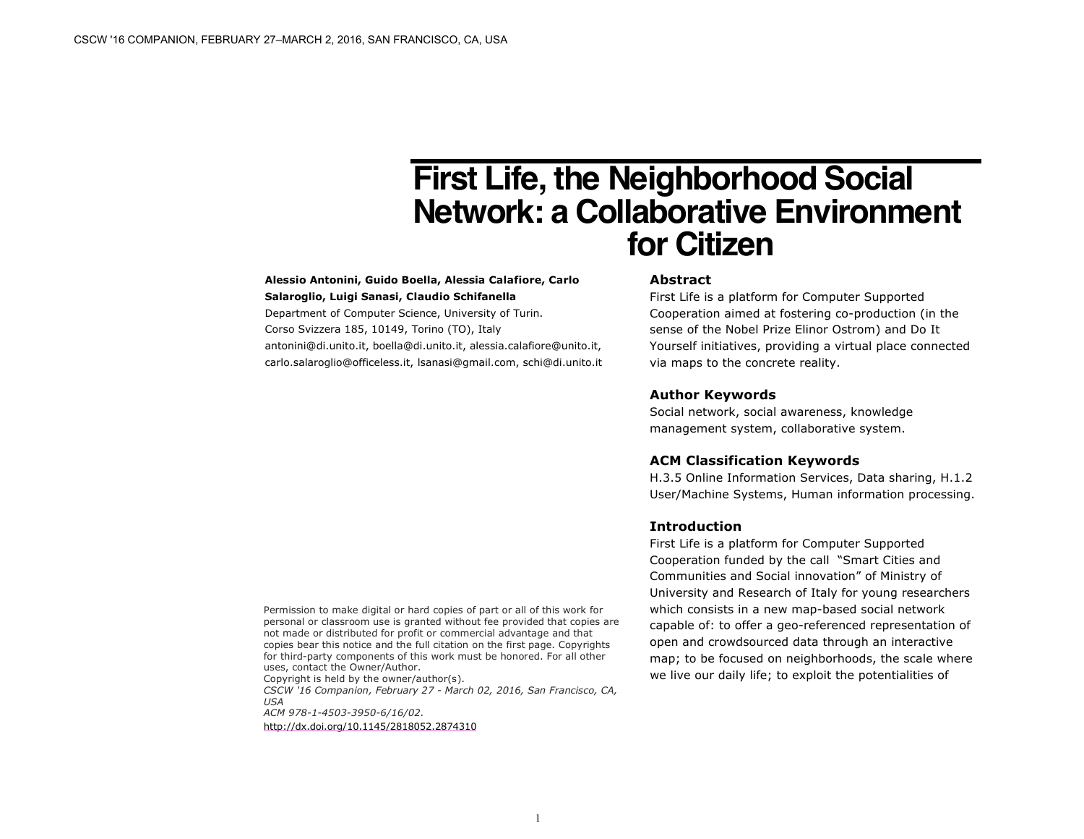# **First Life, the Neighborhood Social Network: a Collaborative Environment for Citizen**

# **Alessio Antonini, Guido Boella, Alessia Calafiore, Carlo Salaroglio, Luigi Sanasi, Claudio Schifanella**

Department of Computer Science, University of Turin. Corso Svizzera 185, 10149, Torino (TO), Italy antonini@di.unito.it, boella@di.unito.it, alessia.calafiore@unito.it, carlo.salaroglio@officeless.it, lsanasi@gmail.com, schi@di.unito.it

## **Abstract**

First Life is a platform for Computer Supported Cooperation aimed at fostering co-production (in the sense of the Nobel Prize Elinor Ostrom) and Do It Yourself initiatives, providing a virtual place connected via maps to the concrete reality.

#### **Author Keywords**

Social network, social awareness, knowledge management system, collaborative system.

## **ACM Classification Keywords**

H.3.5 Online Information Services, Data sharing, H.1.2 User/Machine Systems, Human information processing.

# **Introduction**

First Life is a platform for Computer Supported Cooperation funded by the call "Smart Cities and Communities and Social innovation" of Ministry of University and Research of Italy for young researchers which consists in a new map-based social network capable of: to offer a geo-referenced representation of open and crowdsourced data through an interactive map; to be focused on neighborhoods, the scale where we live our daily life; to exploit the potentialities of

Permission to make digital or hard copies of part or all of this work for personal or classroom use is granted without fee provided that copies are not made or distributed for profit or commercial advantage and that copies bear this notice and the full citation on the first page. Copyrights for third-party components of this work must be honored. For all other uses, contact the Owner/Author.

Copyright is held by the owner/author(s). *CSCW '16 Companion, February 27 - March 02, 2016, San Francisco, CA, USA ACM 978-1-4503-3950-6/16/02.* http://dx.doi.org/10.1145/2818052.2874310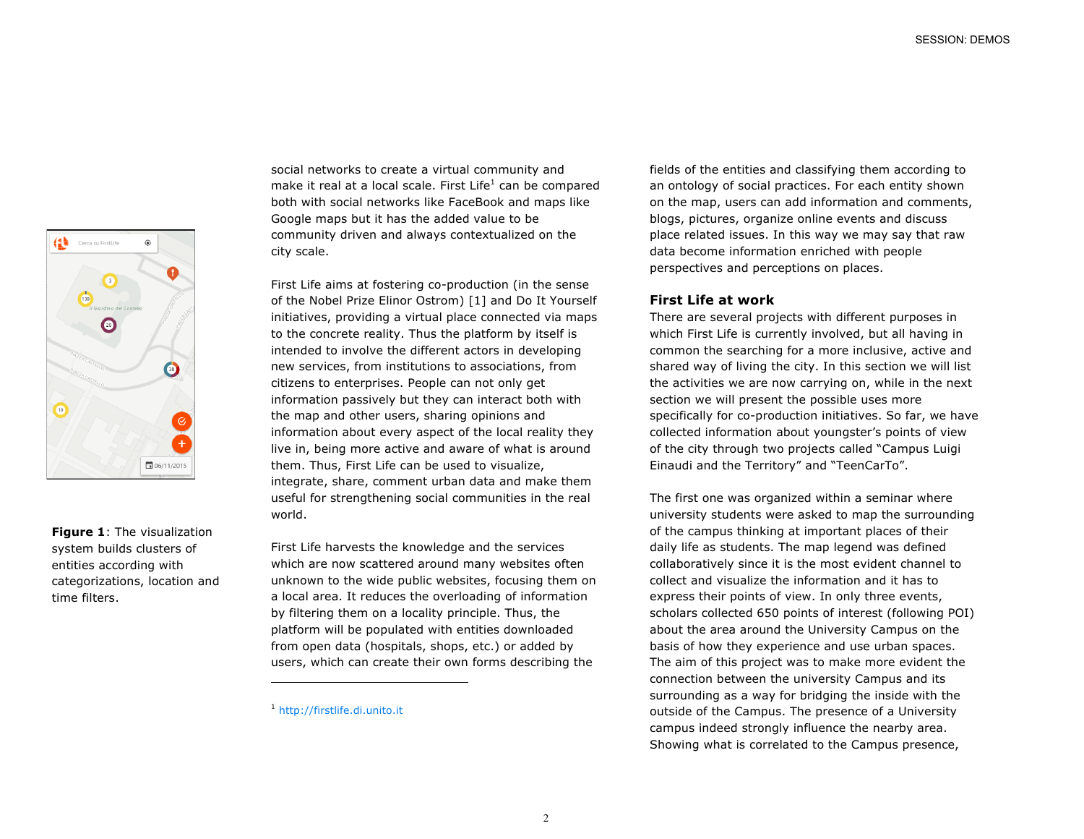

**Figure 1**: The visualization system builds clusters of entities according with categorizations, location and time filters.

social networks to create a virtual community and make it real at a local scale. First Life $<sup>1</sup>$  can be compared</sup> both with social networks like FaceBook and maps like Google maps but it has the added value to be community driven and always contextualized on the city scale.

First Life aims at fostering co-production (in the sense of the Nobel Prize Elinor Ostrom) [1] and Do It Yourself initiatives, providing a virtual place connected via maps to the concrete reality. Thus the platform by itself is intended to involve the different actors in developing new services, from institutions to associations, from citizens to enterprises. People can not only get information passively but they can interact both with the map and other users, sharing opinions and information about every aspect of the local reality they live in, being more active and aware of what is around them. Thus, First Life can be used to visualize, integrate, share, comment urban data and make them useful for strengthening social communities in the real world.

First Life harvests the knowledge and the services which are now scattered around many websites often unknown to the wide public websites, focusing them on a local area. It reduces the overloading of information by filtering them on a locality principle. Thus, the platform will be populated with entities downloaded from open data (hospitals, shops, etc.) or added by users, which can create their own forms describing the

l

fields of the entities and classifying them according to an ontology of social practices. For each entity shown on the map, users can add information and comments, blogs, pictures, organize online events and discuss place related issues. In this way we may say that raw data become information enriched with people perspectives and perceptions on places.

# **First Life at work**

There are several projects with different purposes in which First Life is currently involved, but all having in common the searching for a more inclusive, active and shared way of living the city. In this section we will list the activities we are now carrying on, while in the next section we will present the possible uses more specifically for co-production initiatives. So far, we have collected information about youngster's points of view of the city through two projects called "Campus Luigi Einaudi and the Territory" and "TeenCarTo".

The first one was organized within a seminar where university students were asked to map the surrounding of the campus thinking at important places of their daily life as students. The map legend was defined collaboratively since it is the most evident channel to collect and visualize the information and it has to express their points of view. In only three events, scholars collected 650 points of interest (following POI) about the area around the University Campus on the basis of how they experience and use urban spaces. The aim of this project was to make more evident the connection between the university Campus and its surrounding as a way for bridging the inside with the outside of the Campus. The presence of a University campus indeed strongly influence the nearby area. Showing what is correlated to the Campus presence,

<sup>1</sup> http://firstlife.di.unito.it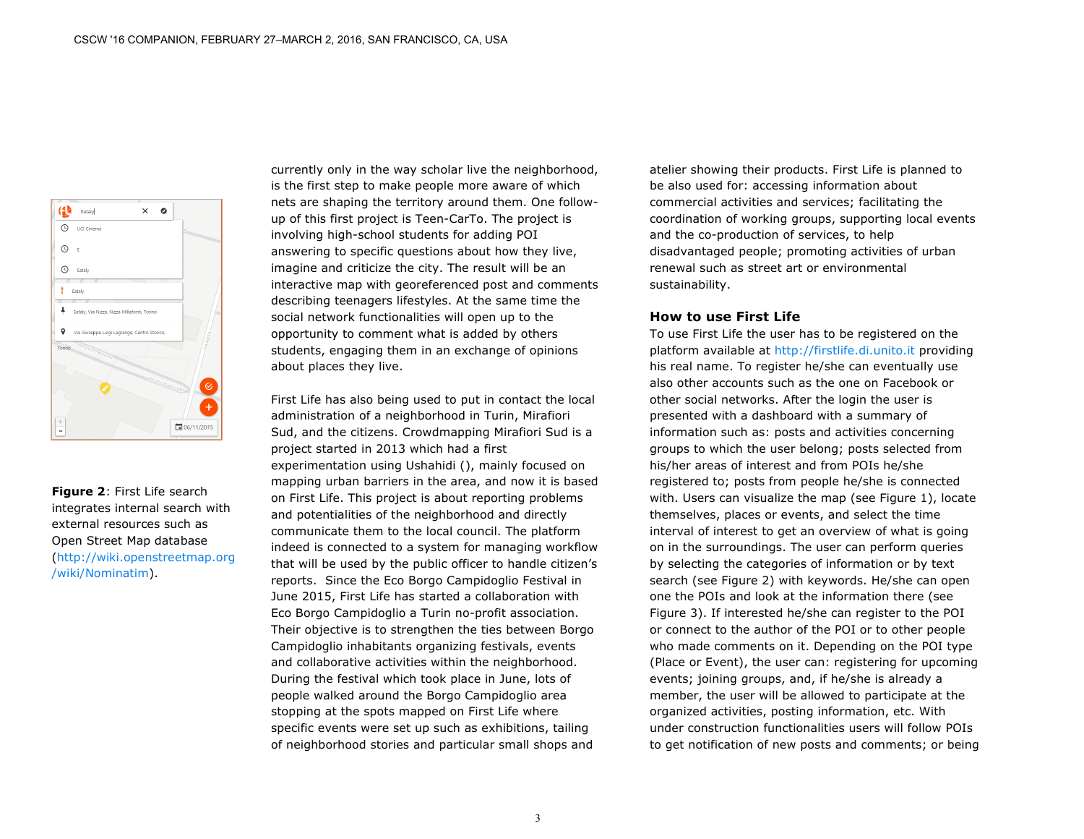

**Figure 2**: First Life search integrates internal search with external resources such as Open Street Map database (http://wiki.openstreetmap.org /wiki/Nominatim).

currently only in the way scholar live the neighborhood, is the first step to make people more aware of which nets are shaping the territory around them. One followup of this first project is Teen-CarTo. The project is involving high-school students for adding POI answering to specific questions about how they live, imagine and criticize the city. The result will be an interactive map with georeferenced post and comments describing teenagers lifestyles. At the same time the social network functionalities will open up to the opportunity to comment what is added by others students, engaging them in an exchange of opinions about places they live.

First Life has also being used to put in contact the local administration of a neighborhood in Turin, Mirafiori Sud, and the citizens. Crowdmapping Mirafiori Sud is a project started in 2013 which had a first experimentation using Ushahidi (), mainly focused on mapping urban barriers in the area, and now it is based on First Life. This project is about reporting problems and potentialities of the neighborhood and directly communicate them to the local council. The platform indeed is connected to a system for managing workflow that will be used by the public officer to handle citizen's reports. Since the Eco Borgo Campidoglio Festival in June 2015, First Life has started a collaboration with Eco Borgo Campidoglio a Turin no-profit association. Their objective is to strengthen the ties between Borgo Campidoglio inhabitants organizing festivals, events and collaborative activities within the neighborhood. During the festival which took place in June, lots of people walked around the Borgo Campidoglio area stopping at the spots mapped on First Life where specific events were set up such as exhibitions, tailing of neighborhood stories and particular small shops and

atelier showing their products. First Life is planned to be also used for: accessing information about commercial activities and services; facilitating the coordination of working groups, supporting local events and the co-production of services, to help disadvantaged people; promoting activities of urban renewal such as street art or environmental sustainability.

#### **How to use First Life**

To use First Life the user has to be registered on the platform available at http://firstlife.di.unito.it providing his real name. To register he/she can eventually use also other accounts such as the one on Facebook or other social networks. After the login the user is presented with a dashboard with a summary of information such as: posts and activities concerning groups to which the user belong; posts selected from his/her areas of interest and from POIs he/she registered to; posts from people he/she is connected with. Users can visualize the map (see Figure 1), locate themselves, places or events, and select the time interval of interest to get an overview of what is going on in the surroundings. The user can perform queries by selecting the categories of information or by text search (see Figure 2) with keywords. He/she can open one the POIs and look at the information there (see Figure 3). If interested he/she can register to the POI or connect to the author of the POI or to other people who made comments on it. Depending on the POI type (Place or Event), the user can: registering for upcoming events; joining groups, and, if he/she is already a member, the user will be allowed to participate at the organized activities, posting information, etc. With under construction functionalities users will follow POIs to get notification of new posts and comments; or being